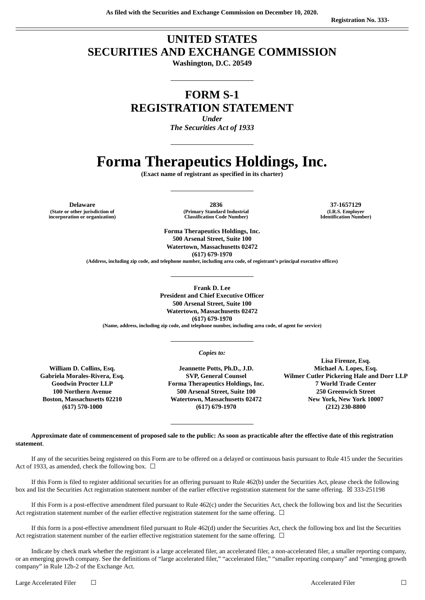## **UNITED STATES SECURITIES AND EXCHANGE COMMISSION**

**Washington, D.C. 20549**

### **FORM S-1 REGISTRATION STATEMENT**

*Under The Securities Act of 1933*

# **Forma Therapeutics Holdings, Inc.**

**(Exact name of registrant as specified in its charter)**

**(State or other jurisdiction of incorporation or organization)**

**Delaware 2836 37-1657129 (Primary Standard Industrial Classification Code Number)**

**(I.R.S. Employer Identification Number)**

**Forma Therapeutics Holdings, Inc. 500 Arsenal Street, Suite 100 Watertown, Massachusetts 02472 (617) 679-1970 (Address, including zip code, and telephone number, including area code, of registrant's principal executive offices)**

**Frank D. Lee President and Chief Executive Officer 500 Arsenal Street, Suite 100 Watertown, Massachusetts 02472 (617) 679-1970 (Name, address, including zip code, and telephone number, including area code, of agent for service)**

*Copies to:*

**William D. Collins, Esq. Gabriela Morales-Rivera, Esq. Goodwin Procter LLP 100 Northern Avenue Boston, Massachusetts 02210 (617) 570-1000**

**Jeannette Potts, Ph.D., J.D. SVP, General Counsel Forma Therapeutics Holdings, Inc. 500 Arsenal Street, Suite 100 Watertown, Massachusetts 02472 (617) 679-1970**

**Lisa Firenze, Esq. Michael A. Lopes, Esq. Wilmer Cutler Pickering Hale and Dorr LLP 7 World Trade Center 250 Greenwich Street New York, New York 10007 (212) 230-8800**

Approximate date of commencement of proposed sale to the public: As soon as practicable after the effective date of this registration **statement**.

If any of the securities being registered on this Form are to be offered on a delayed or continuous basis pursuant to Rule 415 under the Securities Act of 1933, as amended, check the following box.  $\Box$ 

If this Form is filed to register additional securities for an offering pursuant to Rule 462(b) under the Securities Act, please check the following box and list the Securities Act registration statement number of the earlier effective registration statement for the same offering. ⊠ 333-251198

If this Form is a post-effective amendment filed pursuant to Rule 462(c) under the Securities Act, check the following box and list the Securities Act registration statement number of the earlier effective registration statement for the same offering.  $\Box$ 

If this form is a post-effective amendment filed pursuant to Rule 462(d) under the Securities Act, check the following box and list the Securities Act registration statement number of the earlier effective registration statement for the same offering.  $\Box$ 

Indicate by check mark whether the registrant is a large accelerated filer, an accelerated filer, a non-accelerated filer, a smaller reporting company, or an emerging growth company. See the definitions of "large accelerated filer," "accelerated filer," "smaller reporting company" and "emerging growth company" in Rule 12b-2 of the Exchange Act.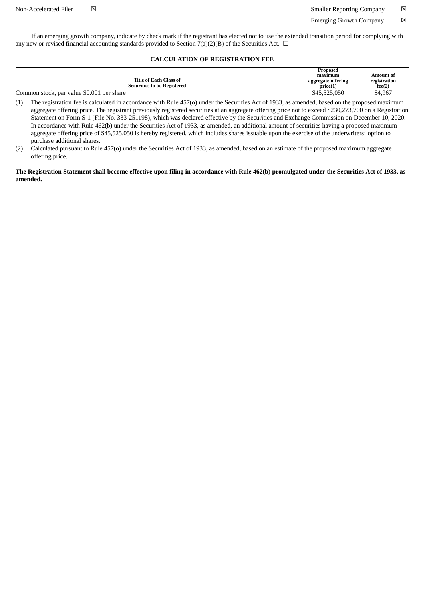If an emerging growth company, indicate by check mark if the registrant has elected not to use the extended transition period for complying with any new or revised financial accounting standards provided to Section 7(a)(2)(B) of the Securities Act.  $\Box$ 

#### **CALCULATION OF REGISTRATION FEE**

|                                                              | Proposed<br>maximum           | Amount of              |
|--------------------------------------------------------------|-------------------------------|------------------------|
| Title of Each Class of<br><b>Securities to be Registered</b> | aggregate offering<br>price(1 | registration<br>fee(2) |
| Common stock, par value \$0.001 per share                    | \$45,525,050                  | \$4,967                |

(1) The registration fee is calculated in accordance with Rule 457(o) under the Securities Act of 1933, as amended, based on the proposed maximum aggregate offering price. The registrant previously registered securities at an aggregate offering price not to exceed \$230,273,700 on a Registration Statement on Form S-1 (File No. 333-251198), which was declared effective by the Securities and Exchange Commission on December 10, 2020. In accordance with Rule 462(b) under the Securities Act of 1933, as amended, an additional amount of securities having a proposed maximum aggregate offering price of \$45,525,050 is hereby registered, which includes shares issuable upon the exercise of the underwriters' option to purchase additional shares.

(2) Calculated pursuant to Rule 457(o) under the Securities Act of 1933, as amended, based on an estimate of the proposed maximum aggregate offering price.

The Registration Statement shall become effective upon filing in accordance with Rule 462(b) promulgated under the Securities Act of 1933, as **amended.**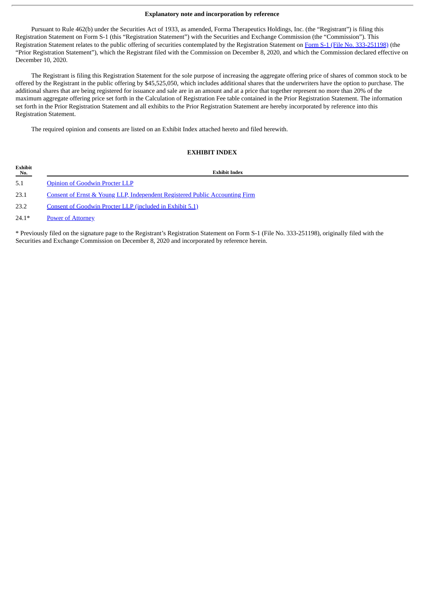#### **Explanatory note and incorporation by reference**

Pursuant to Rule 462(b) under the Securities Act of 1933, as amended, Forma Therapeutics Holdings, Inc. (the "Registrant") is filing this Registration Statement on Form S-1 (this "Registration Statement") with the Securities and Exchange Commission (the "Commission"). This Registration Statement relates to the public offering of securities contemplated by the Registration Statement on Form S-1 (File No. [333-251198\)](http://www.sec.gov/Archives/edgar/data/1538927/000119312520312817/d37893ds1.htm) (the "Prior Registration Statement"), which the Registrant filed with the Commission on December 8, 2020, and which the Commission declared effective on December 10, 2020.

The Registrant is filing this Registration Statement for the sole purpose of increasing the aggregate offering price of shares of common stock to be offered by the Registrant in the public offering by \$45,525,050, which includes additional shares that the underwriters have the option to purchase. The additional shares that are being registered for issuance and sale are in an amount and at a price that together represent no more than 20% of the maximum aggregate offering price set forth in the Calculation of Registration Fee table contained in the Prior Registration Statement. The information set forth in the Prior Registration Statement and all exhibits to the Prior Registration Statement are hereby incorporated by reference into this Registration Statement.

The required opinion and consents are listed on an Exhibit Index attached hereto and filed herewith.

#### **EXHIBIT INDEX**

| Exhibit<br>No. | <b>Exhibit Index</b>                                                        |
|----------------|-----------------------------------------------------------------------------|
| 5.1            | <b>Opinion of Goodwin Procter LLP</b>                                       |
| 23.1           | Consent of Ernst & Young LLP, Independent Registered Public Accounting Firm |
| 23.2           | Consent of Goodwin Procter LLP (included in Exhibit 5.1)                    |
| $24.1*$        | <b>Power of Attorney</b>                                                    |

\* Previously filed on the signature page to the Registrant's Registration Statement on Form S-1 (File No. 333-251198), originally filed with the Securities and Exchange Commission on December 8, 2020 and incorporated by reference herein.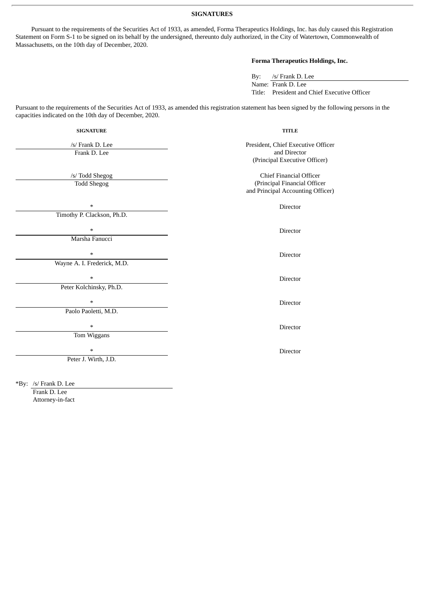**SIGNATURES**

Pursuant to the requirements of the Securities Act of 1933, as amended, Forma Therapeutics Holdings, Inc. has duly caused this Registration Statement on Form S-1 to be signed on its behalf by the undersigned, thereunto duly authorized, in the City of Watertown, Commonwealth of Massachusetts, on the 10th day of December, 2020.

#### **Forma Therapeutics Holdings, Inc.**

By: /s/ Frank D. Lee Name: Frank D. Lee Title: President and Chief Executive Officer

Pursuant to the requirements of the Securities Act of 1933, as amended this registration statement has been signed by the following persons in the capacities indicated on the 10th day of December, 2020.

| <b>SIGNATURE</b>                      | <b>TITLE</b>                                                                                        |  |
|---------------------------------------|-----------------------------------------------------------------------------------------------------|--|
| /s/ Frank D. Lee<br>Frank D. Lee      | President, Chief Executive Officer<br>and Director<br>(Principal Executive Officer)                 |  |
| /s/ Todd Shegog<br><b>Todd Shegog</b> | <b>Chief Financial Officer</b><br>(Principal Financial Officer<br>and Principal Accounting Officer) |  |
| $\ast$                                | Director                                                                                            |  |
| Timothy P. Clackson, Ph.D.            |                                                                                                     |  |
| $\ast$                                | Director                                                                                            |  |
| Marsha Fanucci                        |                                                                                                     |  |
| $\ast$                                | Director                                                                                            |  |
| Wayne A. I. Frederick, M.D.           |                                                                                                     |  |
| $\ast$                                | Director                                                                                            |  |
| Peter Kolchinsky, Ph.D.               |                                                                                                     |  |
| $\ast$                                | <b>Director</b>                                                                                     |  |
| Paolo Paoletti, M.D.                  |                                                                                                     |  |
| $\ast$                                | Director                                                                                            |  |
| Tom Wiggans                           |                                                                                                     |  |
| $\ast$                                | Director                                                                                            |  |
| Peter J. Wirth, J.D.                  |                                                                                                     |  |
|                                       |                                                                                                     |  |
|                                       |                                                                                                     |  |

\*By: /s/ Frank D. Lee

Frank D. Lee Attorney-in-fact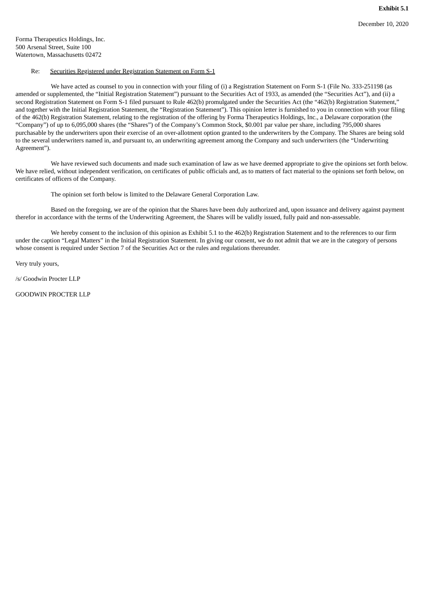<span id="page-4-0"></span>Forma Therapeutics Holdings, Inc. 500 Arsenal Street, Suite 100 Watertown, Massachusetts 02472

#### Re: Securities Registered under Registration Statement on Form S-1

We have acted as counsel to you in connection with your filing of (i) a Registration Statement on Form S-1 (File No. 333-251198 (as amended or supplemented, the "Initial Registration Statement") pursuant to the Securities Act of 1933, as amended (the "Securities Act"), and (ii) a second Registration Statement on Form S-1 filed pursuant to Rule 462(b) promulgated under the Securities Act (the "462(b) Registration Statement," and together with the Initial Registration Statement, the "Registration Statement"). This opinion letter is furnished to you in connection with your filing of the 462(b) Registration Statement, relating to the registration of the offering by Forma Therapeutics Holdings, Inc., a Delaware corporation (the "Company") of up to 6,095,000 shares (the "Shares") of the Company's Common Stock, \$0.001 par value per share, including 795,000 shares purchasable by the underwriters upon their exercise of an over-allotment option granted to the underwriters by the Company. The Shares are being sold to the several underwriters named in, and pursuant to, an underwriting agreement among the Company and such underwriters (the "Underwriting Agreement").

We have reviewed such documents and made such examination of law as we have deemed appropriate to give the opinions set forth below. We have relied, without independent verification, on certificates of public officials and, as to matters of fact material to the opinions set forth below, on certificates of officers of the Company.

The opinion set forth below is limited to the Delaware General Corporation Law.

Based on the foregoing, we are of the opinion that the Shares have been duly authorized and, upon issuance and delivery against payment therefor in accordance with the terms of the Underwriting Agreement, the Shares will be validly issued, fully paid and non-assessable.

We hereby consent to the inclusion of this opinion as Exhibit 5.1 to the 462(b) Registration Statement and to the references to our firm under the caption "Legal Matters" in the Initial Registration Statement. In giving our consent, we do not admit that we are in the category of persons whose consent is required under Section 7 of the Securities Act or the rules and regulations thereunder.

Very truly yours,

/s/ Goodwin Procter LLP

GOODWIN PROCTER LLP